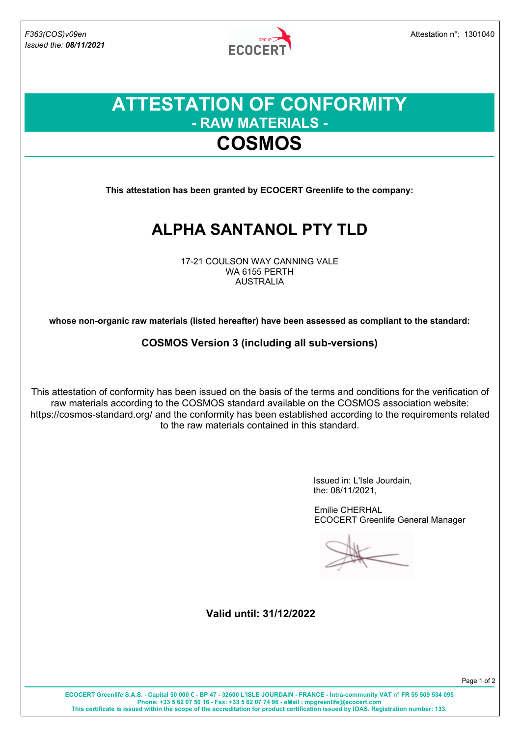*Issued the: 08/11/2021*

**ECOCERT** 

### **ATTESTATION OF CONFORMITY - RAW MATERIALS - COSMOS**

**This attestation has been granted by ECOCERT Greenlife to the company:**

# **ALPHA SANTANOL PTY TLD**

17-21 COULSON WAY CANNING VALE WA 6155 PERTH AUSTRALIA

**whose non-organic raw materials (listed hereafter) have been assessed as compliant to the standard:**

#### **COSMOS Version 3 (including all sub-versions)**

This attestation of conformity has been issued on the basis of the terms and conditions for the verification of raw materials according to the COSMOS standard available on the COSMOS association website: https://cosmos-standard.org/ and the conformity has been established according to the requirements related to the raw materials contained in this standard.

> Issued in: L'Isle Jourdain, the: 08/11/2021,

Emilie CHERHAL ECOCERT Greenlife General Manager

**Valid until: 31/12/2022**

**ECOCERT Greenlife S.A.S. - Capital 50 000 € - BP 47 - 32600 L'ISLE JOURDAIN - FRANCE - Intra-community VAT n° FR 55 509 534 095 Phone: +33 5 62 07 50 16 - Fax: +33 5 62 07 74 96 - eMail : mpgreenlife@ecocert.com This certificate is issued within the scope of the accreditation for product certification issued by IOAS. Registration number: 133.**